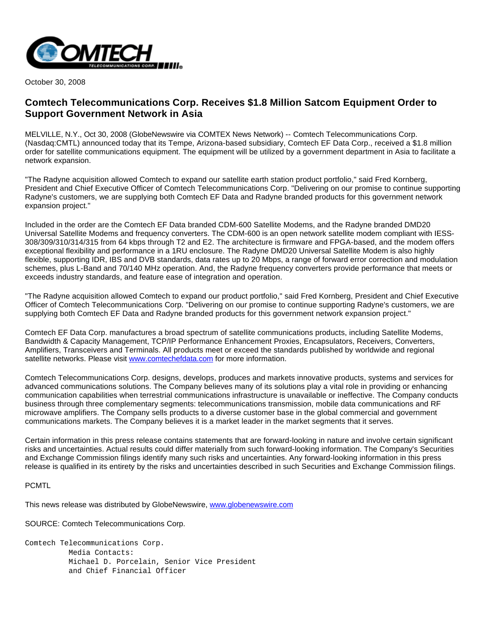

October 30, 2008

## **Comtech Telecommunications Corp. Receives \$1.8 Million Satcom Equipment Order to Support Government Network in Asia**

MELVILLE, N.Y., Oct 30, 2008 (GlobeNewswire via COMTEX News Network) -- Comtech Telecommunications Corp. (Nasdaq:CMTL) announced today that its Tempe, Arizona-based subsidiary, Comtech EF Data Corp., received a \$1.8 million order for satellite communications equipment. The equipment will be utilized by a government department in Asia to facilitate a network expansion.

"The Radyne acquisition allowed Comtech to expand our satellite earth station product portfolio," said Fred Kornberg, President and Chief Executive Officer of Comtech Telecommunications Corp. "Delivering on our promise to continue supporting Radyne's customers, we are supplying both Comtech EF Data and Radyne branded products for this government network expansion project."

Included in the order are the Comtech EF Data branded CDM-600 Satellite Modems, and the Radyne branded DMD20 Universal Satellite Modems and frequency converters. The CDM-600 is an open network satellite modem compliant with IESS-308/309/310/314/315 from 64 kbps through T2 and E2. The architecture is firmware and FPGA-based, and the modem offers exceptional flexibility and performance in a 1RU enclosure. The Radyne DMD20 Universal Satellite Modem is also highly flexible, supporting IDR, IBS and DVB standards, data rates up to 20 Mbps, a range of forward error correction and modulation schemes, plus L-Band and 70/140 MHz operation. And, the Radyne frequency converters provide performance that meets or exceeds industry standards, and feature ease of integration and operation.

"The Radyne acquisition allowed Comtech to expand our product portfolio," said Fred Kornberg, President and Chief Executive Officer of Comtech Telecommunications Corp. "Delivering on our promise to continue supporting Radyne's customers, we are supplying both Comtech EF Data and Radyne branded products for this government network expansion project."

Comtech EF Data Corp. manufactures a broad spectrum of satellite communications products, including Satellite Modems, Bandwidth & Capacity Management, TCP/IP Performance Enhancement Proxies, Encapsulators, Receivers, Converters, Amplifiers, Transceivers and Terminals. All products meet or exceed the standards published by worldwide and regional satellite networks. Please visit [www.comtechefdata.com](http://www.comtechefdata.com/) for more information.

Comtech Telecommunications Corp. designs, develops, produces and markets innovative products, systems and services for advanced communications solutions. The Company believes many of its solutions play a vital role in providing or enhancing communication capabilities when terrestrial communications infrastructure is unavailable or ineffective. The Company conducts business through three complementary segments: telecommunications transmission, mobile data communications and RF microwave amplifiers. The Company sells products to a diverse customer base in the global commercial and government communications markets. The Company believes it is a market leader in the market segments that it serves.

Certain information in this press release contains statements that are forward-looking in nature and involve certain significant risks and uncertainties. Actual results could differ materially from such forward-looking information. The Company's Securities and Exchange Commission filings identify many such risks and uncertainties. Any forward-looking information in this press release is qualified in its entirety by the risks and uncertainties described in such Securities and Exchange Commission filings.

## PCMTL

This news release was distributed by GlobeNewswire, [www.globenewswire.com](http://www.globenewswire.com/)

SOURCE: Comtech Telecommunications Corp.

Comtech Telecommunications Corp. Media Contacts: Michael D. Porcelain, Senior Vice President and Chief Financial Officer